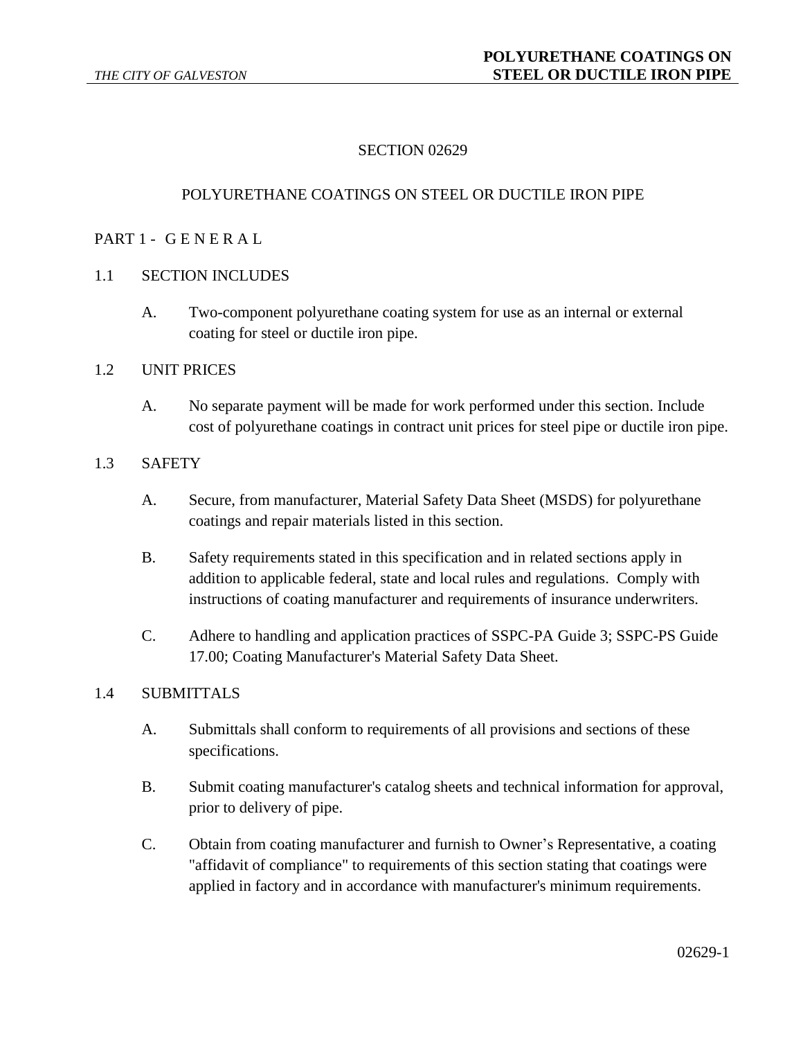# SECTION 02629

### POLYURETHANE COATINGS ON STEEL OR DUCTILE IRON PIPE

#### PART 1 - G E N E R A L

#### 1.1 SECTION INCLUDES

A. Two-component polyurethane coating system for use as an internal or external coating for steel or ductile iron pipe.

#### 1.2 UNIT PRICES

A. No separate payment will be made for work performed under this section. Include cost of polyurethane coatings in contract unit prices for steel pipe or ductile iron pipe.

### 1.3 SAFETY

- A. Secure, from manufacturer, Material Safety Data Sheet (MSDS) for polyurethane coatings and repair materials listed in this section.
- B. Safety requirements stated in this specification and in related sections apply in addition to applicable federal, state and local rules and regulations. Comply with instructions of coating manufacturer and requirements of insurance underwriters.
- C. Adhere to handling and application practices of SSPC-PA Guide 3; SSPC-PS Guide 17.00; Coating Manufacturer's Material Safety Data Sheet.

#### 1.4 SUBMITTALS

- A. Submittals shall conform to requirements of all provisions and sections of these specifications.
- B. Submit coating manufacturer's catalog sheets and technical information for approval, prior to delivery of pipe.
- C. Obtain from coating manufacturer and furnish to Owner's Representative, a coating "affidavit of compliance" to requirements of this section stating that coatings were applied in factory and in accordance with manufacturer's minimum requirements.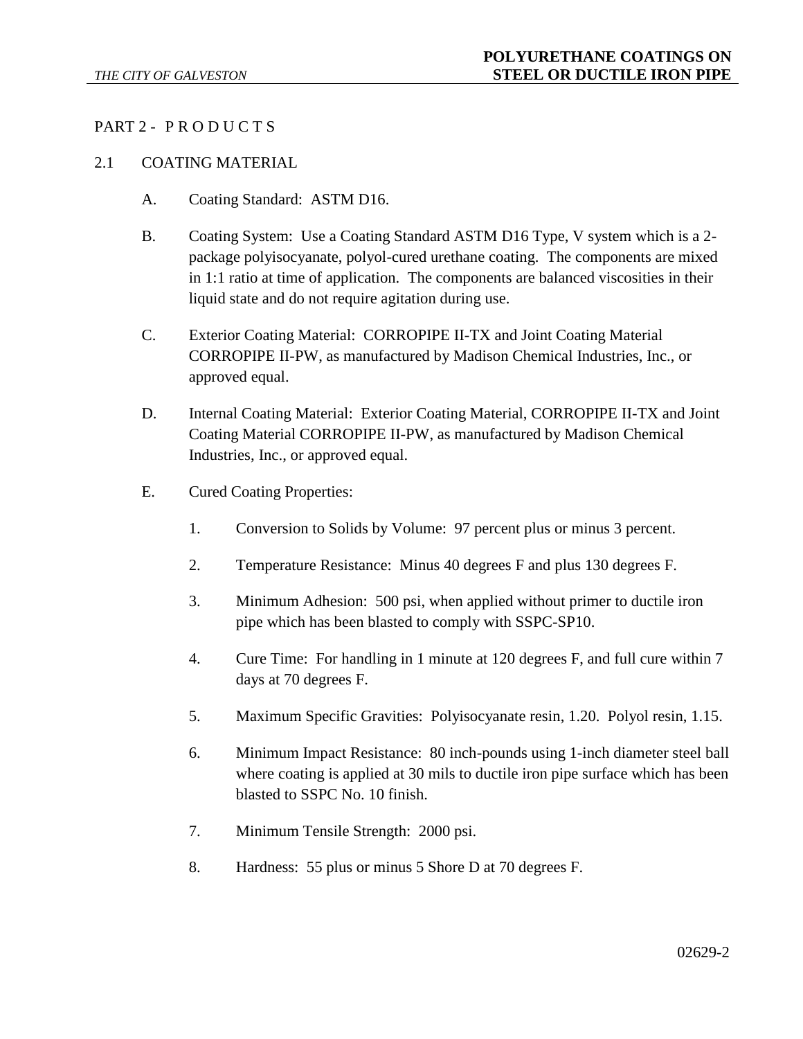# PART 2 - PRODUCTS

### 2.1 COATING MATERIAL

- A. Coating Standard: ASTM D16.
- B. Coating System: Use a Coating Standard ASTM D16 Type, V system which is a 2 package polyisocyanate, polyol-cured urethane coating. The components are mixed in 1:1 ratio at time of application. The components are balanced viscosities in their liquid state and do not require agitation during use.
- C. Exterior Coating Material: CORROPIPE II-TX and Joint Coating Material CORROPIPE II-PW, as manufactured by Madison Chemical Industries, Inc., or approved equal.
- D. Internal Coating Material: Exterior Coating Material, CORROPIPE II-TX and Joint Coating Material CORROPIPE II-PW, as manufactured by Madison Chemical Industries, Inc., or approved equal.
- E. Cured Coating Properties:
	- 1. Conversion to Solids by Volume: 97 percent plus or minus 3 percent.
	- 2. Temperature Resistance: Minus 40 degrees F and plus 130 degrees F.
	- 3. Minimum Adhesion: 500 psi, when applied without primer to ductile iron pipe which has been blasted to comply with SSPC-SP10.
	- 4. Cure Time: For handling in 1 minute at 120 degrees F, and full cure within 7 days at 70 degrees F.
	- 5. Maximum Specific Gravities: Polyisocyanate resin, 1.20. Polyol resin, 1.15.
	- 6. Minimum Impact Resistance: 80 inch-pounds using 1-inch diameter steel ball where coating is applied at 30 mils to ductile iron pipe surface which has been blasted to SSPC No. 10 finish.
	- 7. Minimum Tensile Strength: 2000 psi.
	- 8. Hardness: 55 plus or minus 5 Shore D at 70 degrees F.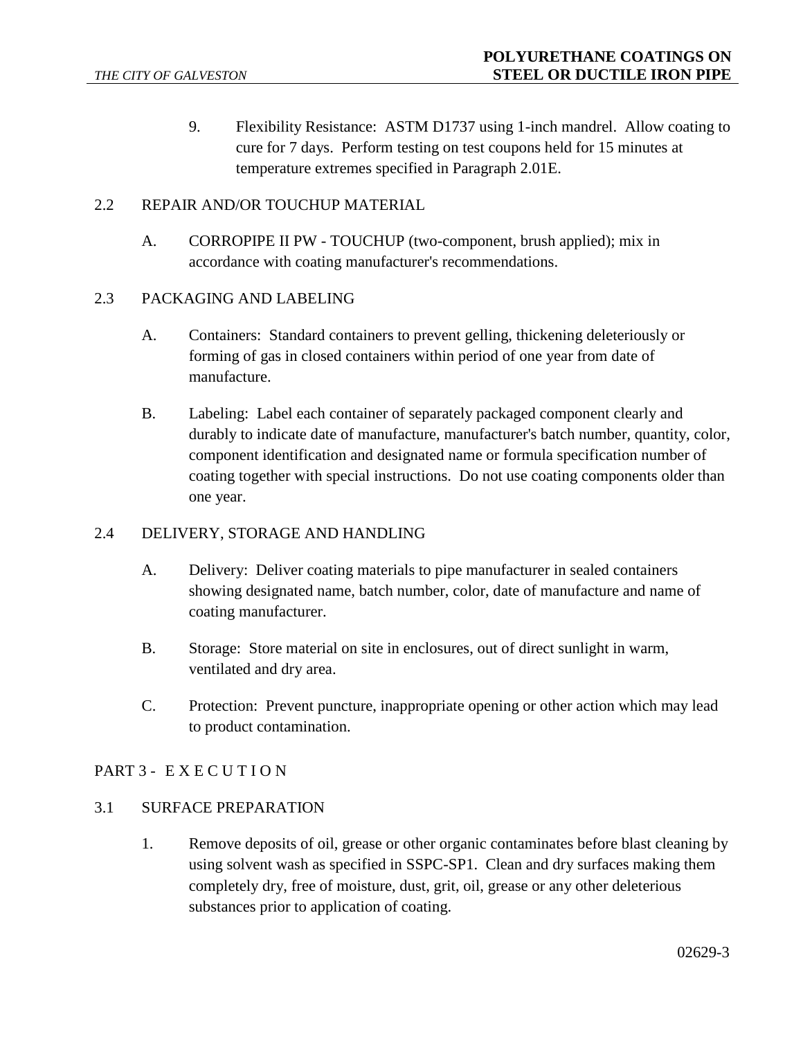9. Flexibility Resistance: ASTM D1737 using 1-inch mandrel. Allow coating to cure for 7 days. Perform testing on test coupons held for 15 minutes at temperature extremes specified in Paragraph 2.01E.

### 2.2 REPAIR AND/OR TOUCHUP MATERIAL

A. CORROPIPE II PW - TOUCHUP (two-component, brush applied); mix in accordance with coating manufacturer's recommendations.

### 2.3 PACKAGING AND LABELING

- A. Containers: Standard containers to prevent gelling, thickening deleteriously or forming of gas in closed containers within period of one year from date of manufacture.
- B. Labeling: Label each container of separately packaged component clearly and durably to indicate date of manufacture, manufacturer's batch number, quantity, color, component identification and designated name or formula specification number of coating together with special instructions. Do not use coating components older than one year.

### 2.4 DELIVERY, STORAGE AND HANDLING

- A. Delivery: Deliver coating materials to pipe manufacturer in sealed containers showing designated name, batch number, color, date of manufacture and name of coating manufacturer.
- B. Storage: Store material on site in enclosures, out of direct sunlight in warm, ventilated and dry area.
- C. Protection: Prevent puncture, inappropriate opening or other action which may lead to product contamination.

# PART 3 - EXECUTION

### 3.1 SURFACE PREPARATION

1. Remove deposits of oil, grease or other organic contaminates before blast cleaning by using solvent wash as specified in SSPC-SP1. Clean and dry surfaces making them completely dry, free of moisture, dust, grit, oil, grease or any other deleterious substances prior to application of coating.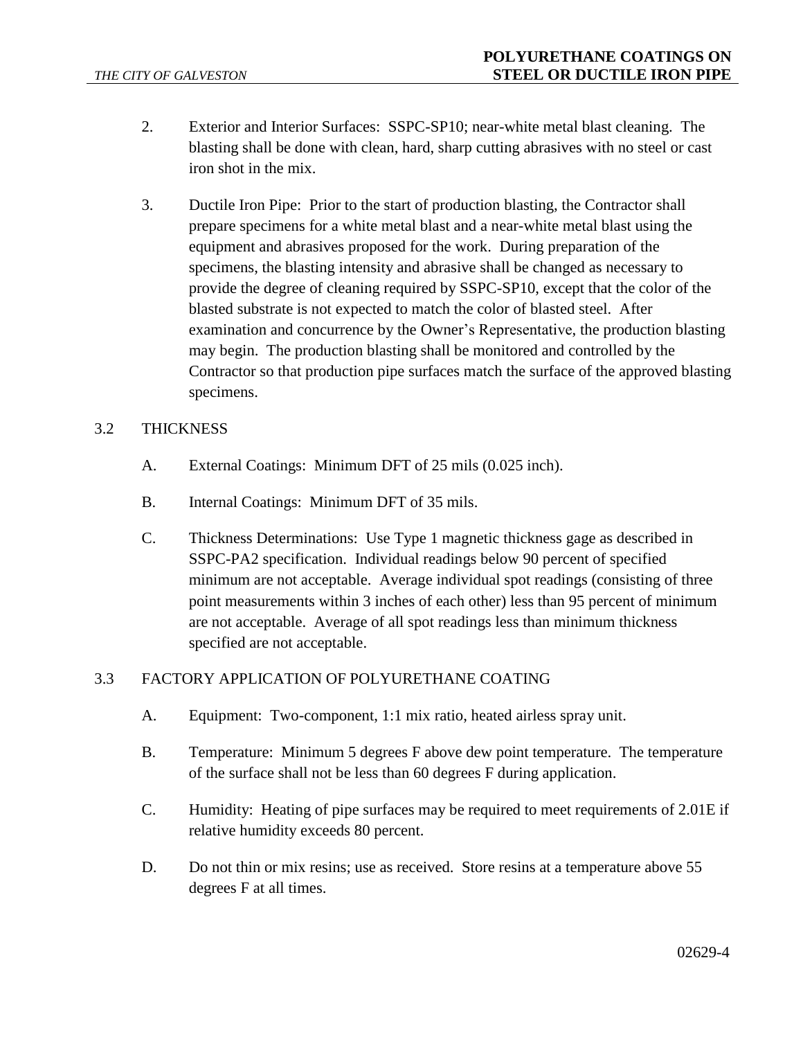- 2. Exterior and Interior Surfaces: SSPC-SP10; near-white metal blast cleaning. The blasting shall be done with clean, hard, sharp cutting abrasives with no steel or cast iron shot in the mix.
- 3. Ductile Iron Pipe: Prior to the start of production blasting, the Contractor shall prepare specimens for a white metal blast and a near-white metal blast using the equipment and abrasives proposed for the work. During preparation of the specimens, the blasting intensity and abrasive shall be changed as necessary to provide the degree of cleaning required by SSPC-SP10, except that the color of the blasted substrate is not expected to match the color of blasted steel. After examination and concurrence by the Owner's Representative, the production blasting may begin. The production blasting shall be monitored and controlled by the Contractor so that production pipe surfaces match the surface of the approved blasting specimens.

## 3.2 THICKNESS

- A. External Coatings: Minimum DFT of 25 mils (0.025 inch).
- B. Internal Coatings: Minimum DFT of 35 mils.
- C. Thickness Determinations: Use Type 1 magnetic thickness gage as described in SSPC-PA2 specification. Individual readings below 90 percent of specified minimum are not acceptable. Average individual spot readings (consisting of three point measurements within 3 inches of each other) less than 95 percent of minimum are not acceptable. Average of all spot readings less than minimum thickness specified are not acceptable.

### 3.3 FACTORY APPLICATION OF POLYURETHANE COATING

- A. Equipment: Two-component, 1:1 mix ratio, heated airless spray unit.
- B. Temperature: Minimum 5 degrees F above dew point temperature. The temperature of the surface shall not be less than 60 degrees F during application.
- C. Humidity: Heating of pipe surfaces may be required to meet requirements of 2.01E if relative humidity exceeds 80 percent.
- D. Do not thin or mix resins; use as received. Store resins at a temperature above 55 degrees F at all times.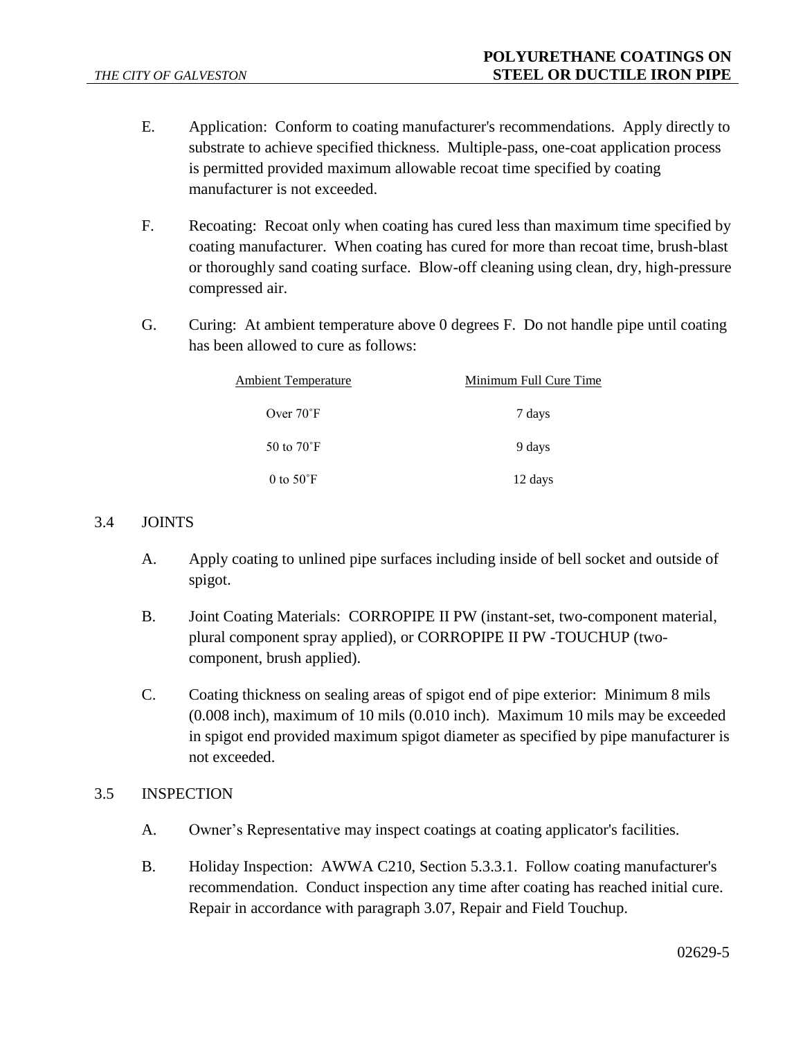- E. Application: Conform to coating manufacturer's recommendations. Apply directly to substrate to achieve specified thickness. Multiple-pass, one-coat application process is permitted provided maximum allowable recoat time specified by coating manufacturer is not exceeded.
- F. Recoating: Recoat only when coating has cured less than maximum time specified by coating manufacturer. When coating has cured for more than recoat time, brush-blast or thoroughly sand coating surface. Blow-off cleaning using clean, dry, high-pressure compressed air.
- G. Curing: At ambient temperature above 0 degrees F. Do not handle pipe until coating has been allowed to cure as follows:

| <b>Ambient Temperature</b> | Minimum Full Cure Time |
|----------------------------|------------------------|
| Over $70^{\circ}$ F        | 7 days                 |
| 50 to $70^{\circ}$ F       | 9 days                 |
| 0 to $50^{\circ}$ F        | 12 days                |

# 3.4 JOINTS

- A. Apply coating to unlined pipe surfaces including inside of bell socket and outside of spigot.
- B. Joint Coating Materials: CORROPIPE II PW (instant-set, two-component material, plural component spray applied), or CORROPIPE II PW -TOUCHUP (twocomponent, brush applied).
- C. Coating thickness on sealing areas of spigot end of pipe exterior: Minimum 8 mils (0.008 inch), maximum of 10 mils (0.010 inch). Maximum 10 mils may be exceeded in spigot end provided maximum spigot diameter as specified by pipe manufacturer is not exceeded.

### 3.5 INSPECTION

- A. Owner's Representative may inspect coatings at coating applicator's facilities.
- B. Holiday Inspection: AWWA C210, Section 5.3.3.1. Follow coating manufacturer's recommendation. Conduct inspection any time after coating has reached initial cure. Repair in accordance with paragraph 3.07, Repair and Field Touchup.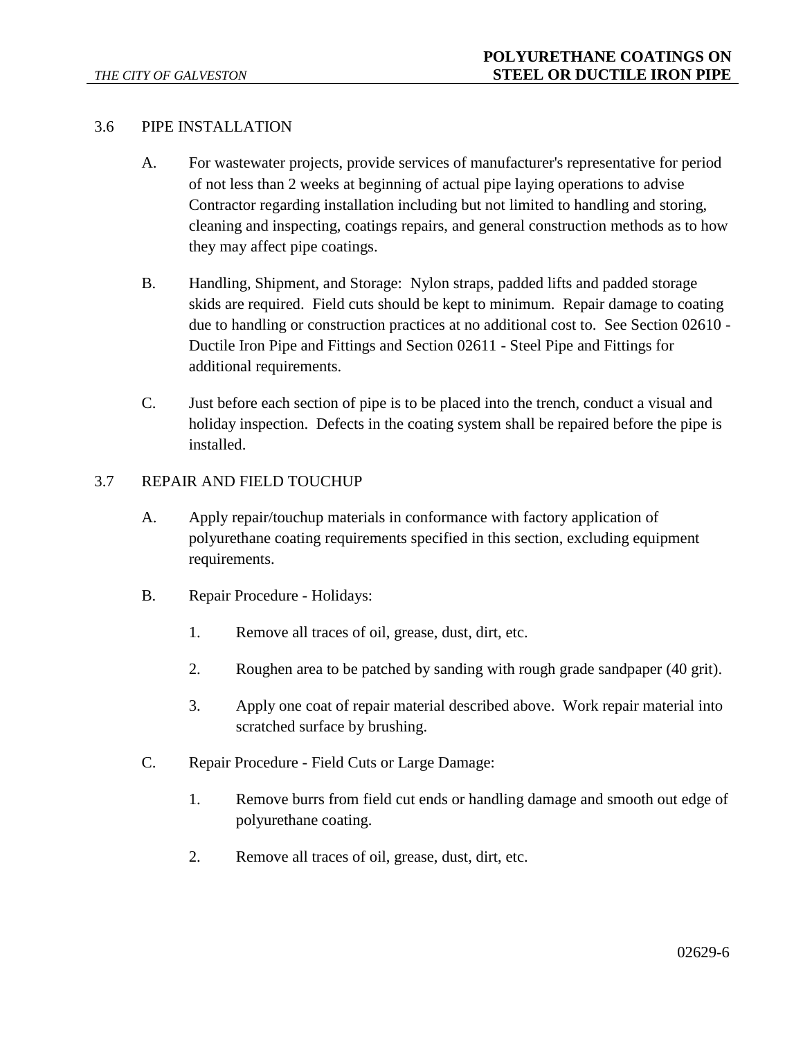### 3.6 PIPE INSTALLATION

- A. For wastewater projects, provide services of manufacturer's representative for period of not less than 2 weeks at beginning of actual pipe laying operations to advise Contractor regarding installation including but not limited to handling and storing, cleaning and inspecting, coatings repairs, and general construction methods as to how they may affect pipe coatings.
- B. Handling, Shipment, and Storage: Nylon straps, padded lifts and padded storage skids are required. Field cuts should be kept to minimum. Repair damage to coating due to handling or construction practices at no additional cost to. See Section 02610 - Ductile Iron Pipe and Fittings and Section 02611 - Steel Pipe and Fittings for additional requirements.
- C. Just before each section of pipe is to be placed into the trench, conduct a visual and holiday inspection. Defects in the coating system shall be repaired before the pipe is installed.

#### 3.7 REPAIR AND FIELD TOUCHUP

- A. Apply repair/touchup materials in conformance with factory application of polyurethane coating requirements specified in this section, excluding equipment requirements.
- B. Repair Procedure Holidays:
	- 1. Remove all traces of oil, grease, dust, dirt, etc.
	- 2. Roughen area to be patched by sanding with rough grade sandpaper (40 grit).
	- 3. Apply one coat of repair material described above. Work repair material into scratched surface by brushing.
- C. Repair Procedure Field Cuts or Large Damage:
	- 1. Remove burrs from field cut ends or handling damage and smooth out edge of polyurethane coating.
	- 2. Remove all traces of oil, grease, dust, dirt, etc.